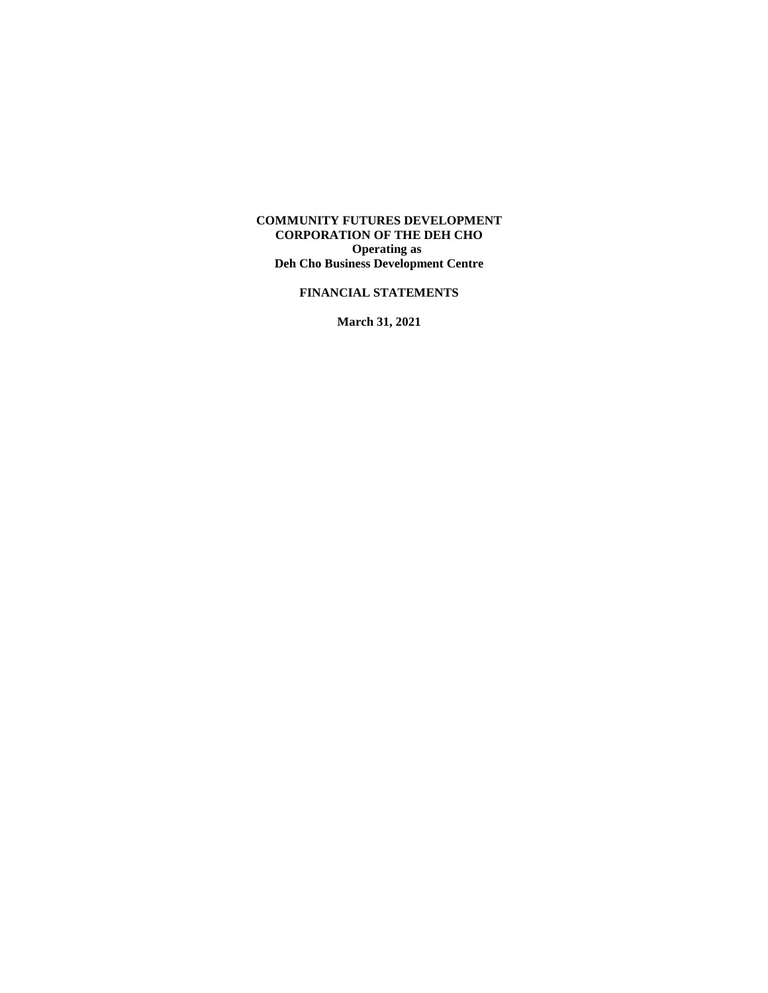#### **COMMUNITY FUTURES DEVELOPMENT CORPORATION OF THE DEH CHO Operating as Deh Cho Business Development Centre**

# **FINANCIAL STATEMENTS**

**March 31, 2021**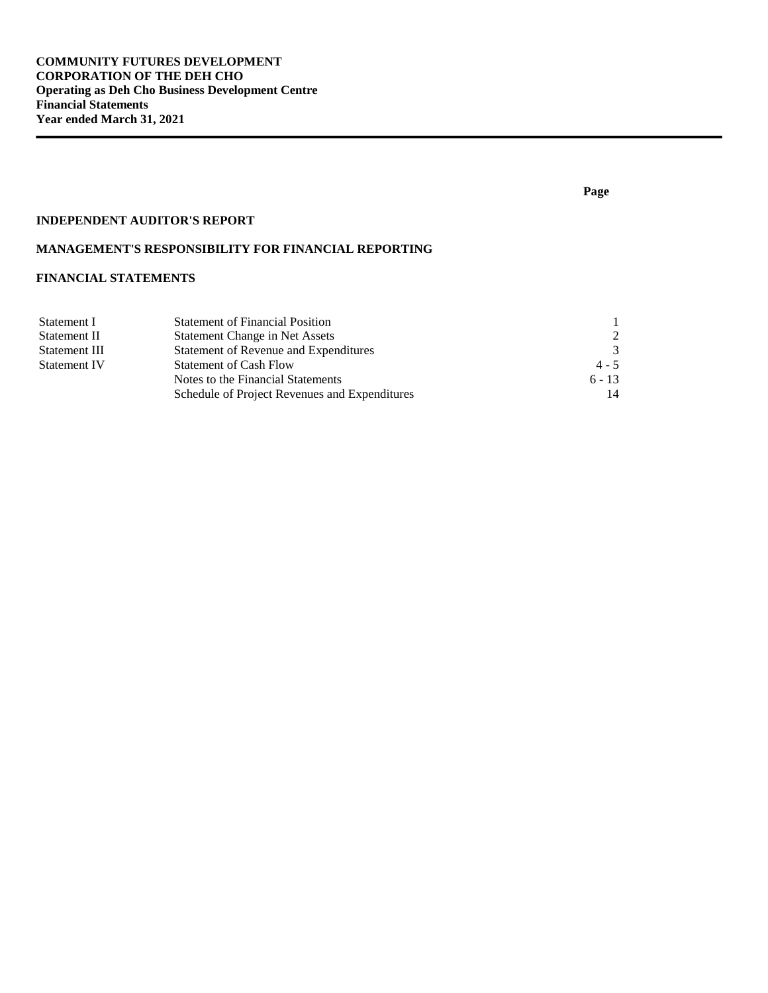### **INDEPENDENT AUDITOR'S REPORT**

# **MANAGEMENT'S RESPONSIBILITY FOR FINANCIAL REPORTING**

# **FINANCIAL STATEMENTS**

| Statement I         | <b>Statement of Financial Position</b>        |               |
|---------------------|-----------------------------------------------|---------------|
| Statement II        | Statement Change in Net Assets                | $\mathcal{D}$ |
| Statement III       | Statement of Revenue and Expenditures         | $\mathcal{R}$ |
| <b>Statement IV</b> | <b>Statement of Cash Flow</b>                 | $4 - 5$       |
|                     | Notes to the Financial Statements             | $6 - 13$      |
|                     | Schedule of Project Revenues and Expenditures | 14            |

#### **Page**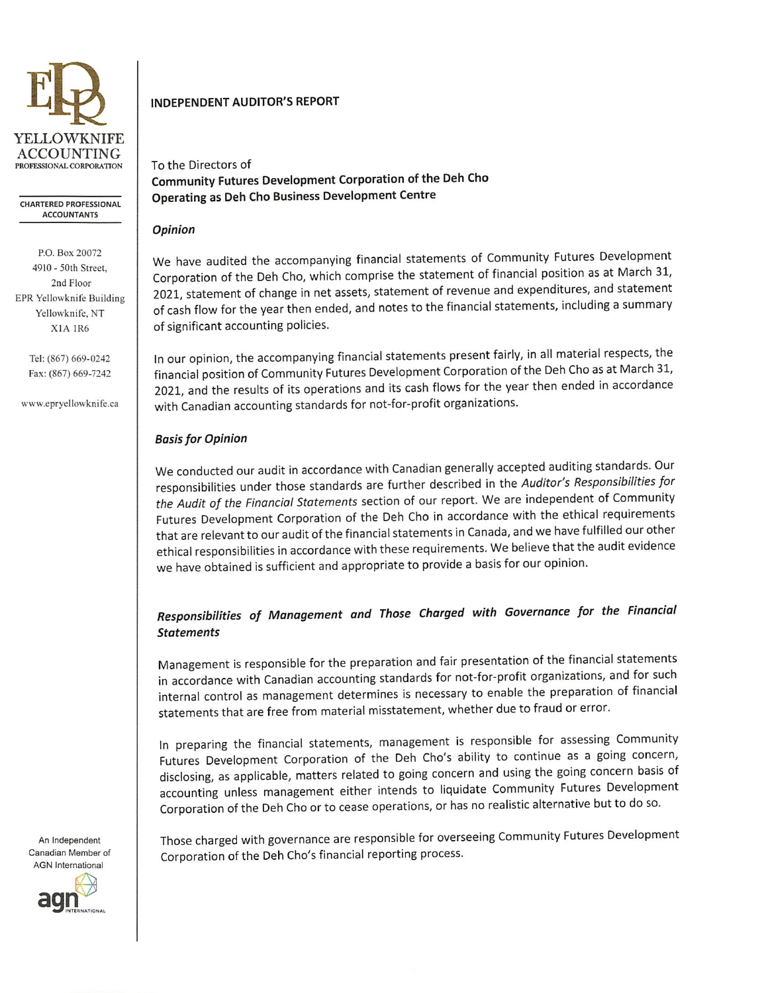

**CHARTERED PROFESSIONAL ACCOUNTANTS** 

P.O. Box 20072 4910 - 50th Street, 2nd Floor EPR Yellowknife Building Yellowknife, NT X1A 1R6

> Tel: (867) 669-0242 Fax: (867) 669-7242

www.epryellowknife.ca

# **INDEPENDENT AUDITOR'S REPORT**

To the Directors of Community Futures Development Corporation of the Deh Cho Operating as Deh Cho Business Development Centre

#### Opinion

We have audited the accompanying financial statements of Community Futures Development Corporation of the Deh Cho, which comprise the statement of financial position as at March 31, 2021, statement of change in net assets, statement of revenue and expenditures, and statement of cash flow for the year then ended, and notes to the financial statements, including a summary of significant accounting policies.

In our opinion, the accompanying financial statements present fairly, in all material respects, the financial position of Community Futures Development Corporation of the Deh Cho as at March 31, 2021, and the results of its operations and its cash flows for the year then ended in accordance with Canadian accounting standards for not-for-profit organizations.

# **Basis for Opinion**

We conducted our audit in accordance with Canadian generally accepted auditing standards. Our responsibilities under those standards are further described in the Auditor's Responsibilities for the Audit of the Financial Statements section of our report. We are independent of Community Futures Development Corporation of the Deh Cho in accordance with the ethical requirements that are relevant to our audit of the financial statements in Canada, and we have fulfilled our other ethical responsibilities in accordance with these requirements. We believe that the audit evidence we have obtained is sufficient and appropriate to provide a basis for our opinion.

# Responsibilities of Management and Those Charged with Governance for the Financial **Statements**

Management is responsible for the preparation and fair presentation of the financial statements in accordance with Canadian accounting standards for not-for-profit organizations, and for such internal control as management determines is necessary to enable the preparation of financial statements that are free from material misstatement, whether due to fraud or error.

In preparing the financial statements, management is responsible for assessing Community Futures Development Corporation of the Deh Cho's ability to continue as a going concern, disclosing, as applicable, matters related to going concern and using the going concern basis of accounting unless management either intends to liquidate Community Futures Development Corporation of the Deh Cho or to cease operations, or has no realistic alternative but to do so.

Those charged with governance are responsible for overseeing Community Futures Development Corporation of the Deh Cho's financial reporting process.

An Independent Canadian Member of **AGN** International

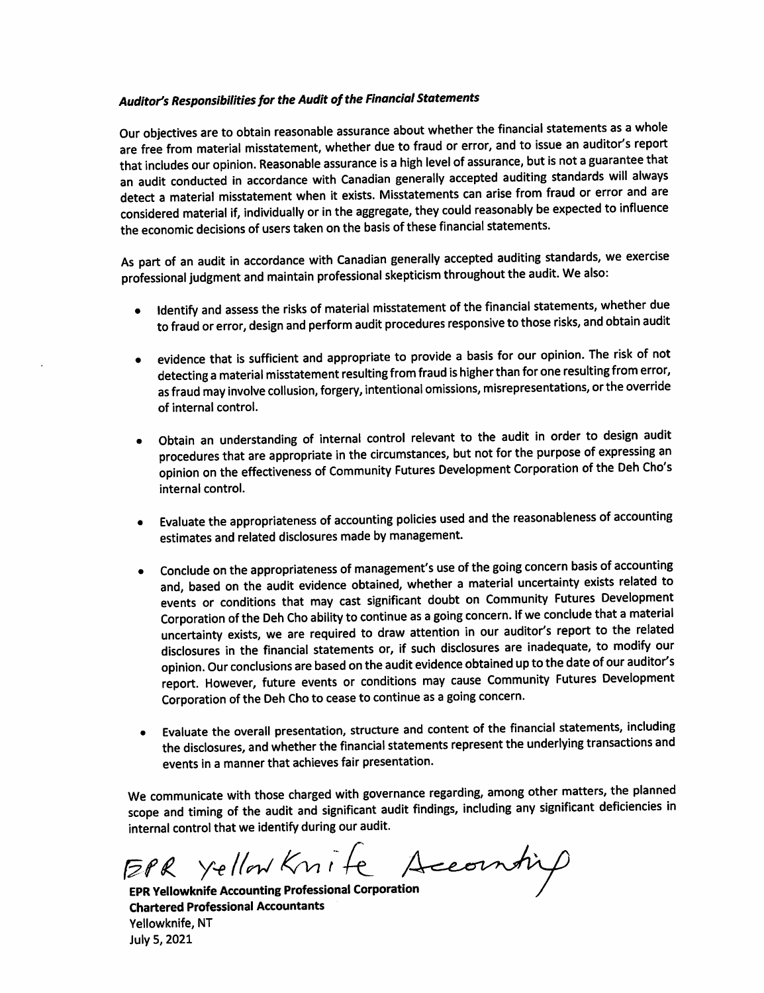# Auditor's Responsibilities for the Audit of the Financial Statements

Our objectives are to obtain reasonable assurance about whether the financial statements as a whole are free from material misstatement, whether due to fraud or error, and to issue an auditor's report that includes our opinion. Reasonable assurance is a high level of assurance, but is not a guarantee that an audit conducted in accordance with Canadian generally accepted auditing standards will always detect a material misstatement when it exists. Misstatements can arise from fraud or error and are considered material if, individually or in the aggregate, they could reasonably be expected to influence the economic decisions of users taken on the basis of these financial statements.

As part of an audit in accordance with Canadian generally accepted auditing standards, we exercise professional judgment and maintain professional skepticism throughout the audit. We also:

- Identify and assess the risks of material misstatement of the financial statements, whether due to fraud or error, design and perform audit procedures responsive to those risks, and obtain audit
- evidence that is sufficient and appropriate to provide a basis for our opinion. The risk of not  $\bullet$ detecting a material misstatement resulting from fraud is higher than for one resulting from error, as fraud may involve collusion, forgery, intentional omissions, misrepresentations, or the override of internal control.
- Obtain an understanding of internal control relevant to the audit in order to design audit procedures that are appropriate in the circumstances, but not for the purpose of expressing an opinion on the effectiveness of Community Futures Development Corporation of the Deh Cho's internal control.
- Evaluate the appropriateness of accounting policies used and the reasonableness of accounting  $\bullet$ estimates and related disclosures made by management.
- Conclude on the appropriateness of management's use of the going concern basis of accounting  $\bullet$ and, based on the audit evidence obtained, whether a material uncertainty exists related to events or conditions that may cast significant doubt on Community Futures Development Corporation of the Deh Cho ability to continue as a going concern. If we conclude that a material uncertainty exists, we are required to draw attention in our auditor's report to the related disclosures in the financial statements or, if such disclosures are inadequate, to modify our opinion. Our conclusions are based on the audit evidence obtained up to the date of our auditor's report. However, future events or conditions may cause Community Futures Development Corporation of the Deh Cho to cease to continue as a going concern.
- Evaluate the overall presentation, structure and content of the financial statements, including the disclosures, and whether the financial statements represent the underlying transactions and events in a manner that achieves fair presentation.

We communicate with those charged with governance regarding, among other matters, the planned scope and timing of the audit and significant audit findings, including any significant deficiencies in internal control that we identify during our audit.

EPR Yellow Knife Accountif

**EPR Yellowknife Accounting Professional Corporation Chartered Professional Accountants** Yellowknife, NT July 5, 2021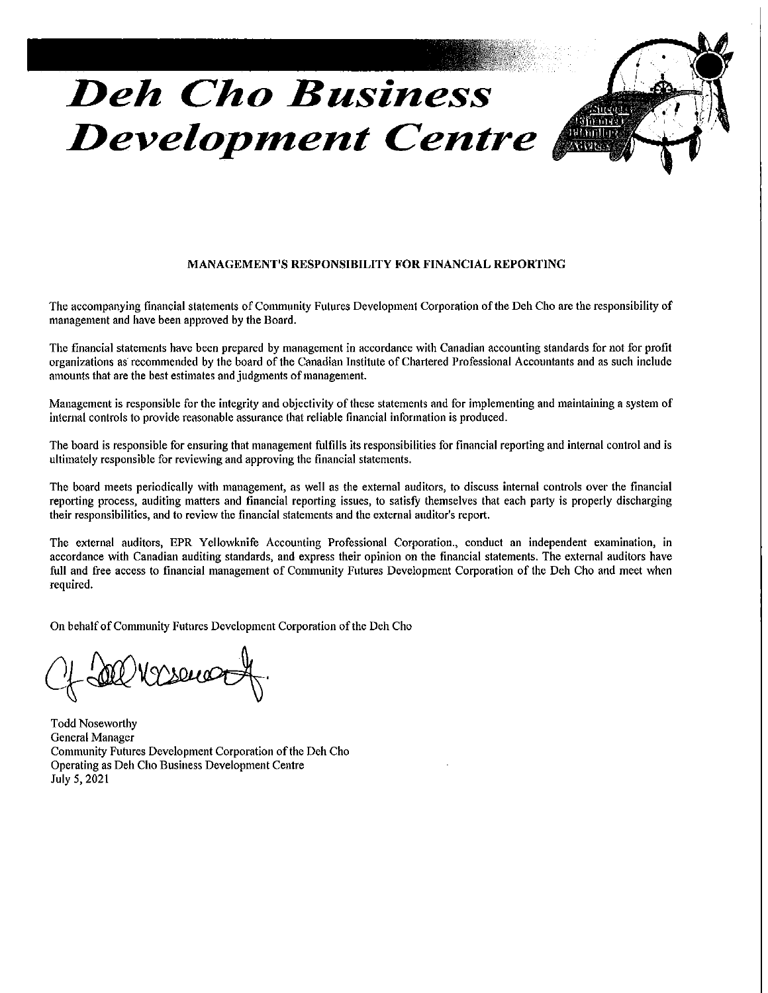# **Deh Cho Business Development Centre**



#### MANAGEMENT'S RESPONSIBILITY FOR FINANCIAL REPORTING

The accompanying financial statements of Community Futures Development Corporation of the Deh Cho are the responsibility of management and have been approved by the Board.

The financial statements have been prepared by management in accordance with Canadian accounting standards for not for profit organizations as recommended by the board of the Canadian Institute of Chartered Professional Accountants and as such include amounts that are the best estimates and judgments of management.

Management is responsible for the integrity and objectivity of these statements and for implementing and maintaining a system of internal controls to provide reasonable assurance that reliable financial information is produced.

The board is responsible for ensuring that management fulfills its responsibilities for financial reporting and internal control and is ultimately responsible for reviewing and approving the financial statements.

The board meets periodically with management, as well as the external auditors, to discuss internal controls over the financial reporting process, auditing matters and financial reporting issues, to satisfy themselves that each party is properly discharging their responsibilities, and to review the financial statements and the external auditor's report.

The external auditors, EPR Yellowknife Accounting Professional Corporation., conduct an independent examination, in accordance with Canadian auditing standards, and express their opinion on the financial statements. The external auditors have full and free access to financial management of Community Futures Development Corporation of the Deh Cho and meet when required.

On behalf of Community Futures Development Corporation of the Deh Cho

M V seu

**Todd Noseworthy General Manager** Community Futures Development Corporation of the Deh Cho Operating as Deh Cho Business Development Centre July 5, 2021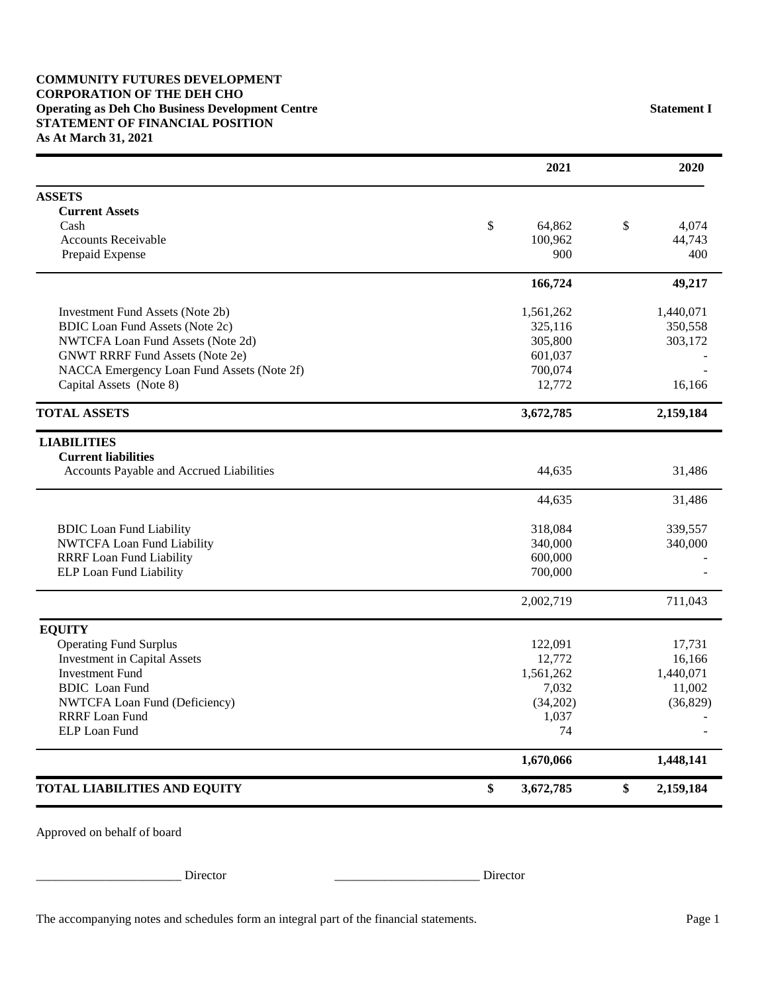|                                            | 2021            | 2020            |
|--------------------------------------------|-----------------|-----------------|
| <b>ASSETS</b>                              |                 |                 |
| <b>Current Assets</b>                      |                 |                 |
| Cash                                       | \$<br>64,862    | \$<br>4.074     |
| <b>Accounts Receivable</b>                 | 100,962         | 44,743          |
| Prepaid Expense                            | 900             | 400             |
|                                            | 166,724         | 49,217          |
| <b>Investment Fund Assets (Note 2b)</b>    | 1,561,262       | 1,440,071       |
| <b>BDIC</b> Loan Fund Assets (Note 2c)     | 325,116         | 350,558         |
| NWTCFA Loan Fund Assets (Note 2d)          | 305,800         | 303,172         |
| <b>GNWT RRRF Fund Assets (Note 2e)</b>     | 601,037         |                 |
| NACCA Emergency Loan Fund Assets (Note 2f) | 700,074         |                 |
| Capital Assets (Note 8)                    | 12,772          | 16,166          |
| <b>TOTAL ASSETS</b>                        | 3,672,785       | 2,159,184       |
| <b>LIABILITIES</b>                         |                 |                 |
| <b>Current liabilities</b>                 |                 |                 |
| Accounts Payable and Accrued Liabilities   | 44,635          | 31,486          |
|                                            | 44,635          | 31,486          |
| <b>BDIC</b> Loan Fund Liability            | 318,084         | 339,557         |
| NWTCFA Loan Fund Liability                 | 340,000         | 340,000         |
| <b>RRRF</b> Loan Fund Liability            | 600,000         |                 |
| ELP Loan Fund Liability                    | 700,000         |                 |
|                                            | 2,002,719       | 711,043         |
| <b>EQUITY</b>                              |                 |                 |
| <b>Operating Fund Surplus</b>              | 122,091         | 17,731          |
| <b>Investment in Capital Assets</b>        | 12,772          | 16,166          |
| <b>Investment Fund</b>                     | 1,561,262       | 1,440,071       |
| <b>BDIC</b> Loan Fund                      | 7,032           | 11,002          |
| NWTCFA Loan Fund (Deficiency)              | (34,202)        | (36, 829)       |
| <b>RRRF</b> Loan Fund                      | 1,037           |                 |
| <b>ELP Loan Fund</b>                       | 74              |                 |
|                                            | 1,670,066       | 1,448,141       |
| <b>TOTAL LIABILITIES AND EQUITY</b>        | \$<br>3,672,785 | \$<br>2,159,184 |

Approved on behalf of board

\_\_\_\_\_\_\_\_\_\_\_\_\_\_\_\_\_\_\_\_\_\_\_ Director \_\_\_\_\_\_\_\_\_\_\_\_\_\_\_\_\_\_\_\_\_\_\_ Director

The accompanying notes and schedules form an integral part of the financial statements. Page 1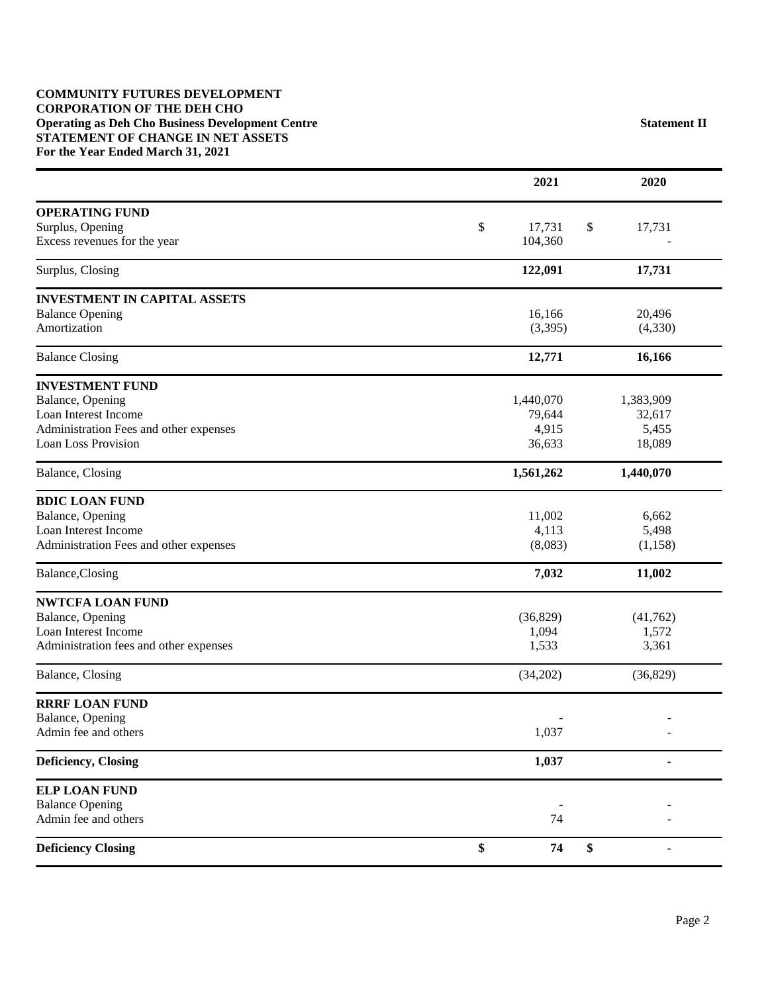#### **COMMUNITY FUTURES DEVELOPMENT CORPORATION OF THE DEH CHO Operating as Deh Cho Business Development Centre Statement II STATEMENT OF CHANGE IN NET ASSETS For the Year Ended March 31, 2021**

|                                        | 2021         |          | 2020           |
|----------------------------------------|--------------|----------|----------------|
| <b>OPERATING FUND</b>                  |              |          |                |
| Surplus, Opening                       | \$<br>17,731 | \$       | 17,731         |
| Excess revenues for the year           | 104,360      |          |                |
| Surplus, Closing                       | 122,091      |          | 17,731         |
| <b>INVESTMENT IN CAPITAL ASSETS</b>    |              |          |                |
| <b>Balance Opening</b>                 | 16,166       |          | 20,496         |
| Amortization                           | (3,395)      |          | (4,330)        |
| <b>Balance Closing</b>                 | 12,771       |          | 16,166         |
| <b>INVESTMENT FUND</b>                 |              |          |                |
| Balance, Opening                       | 1,440,070    |          | 1,383,909      |
| Loan Interest Income                   | 79,644       |          | 32,617         |
| Administration Fees and other expenses | 4,915        |          | 5,455          |
| <b>Loan Loss Provision</b>             | 36,633       |          | 18,089         |
| Balance, Closing                       | 1,561,262    |          | 1,440,070      |
| <b>BDIC LOAN FUND</b>                  |              |          |                |
| Balance, Opening                       | 11,002       |          | 6,662          |
| Loan Interest Income                   | 4,113        |          | 5,498          |
| Administration Fees and other expenses | (8,083)      |          | (1,158)        |
| Balance, Closing                       | 7,032        |          | 11,002         |
| <b>NWTCFA LOAN FUND</b>                |              |          |                |
| Balance, Opening                       | (36,829)     |          | (41,762)       |
| Loan Interest Income                   | 1,094        |          | 1,572          |
| Administration fees and other expenses | 1,533        |          | 3,361          |
| Balance, Closing                       | (34,202)     |          | (36,829)       |
| <b>RRRF LOAN FUND</b>                  |              |          |                |
| Balance, Opening                       |              |          |                |
| Admin fee and others                   | 1,037        |          |                |
| Deficiency, Closing                    | 1,037        |          | $\blacksquare$ |
| <b>ELP LOAN FUND</b>                   |              |          |                |
| <b>Balance Opening</b>                 |              |          |                |
| Admin fee and others                   |              | 74       |                |
| <b>Deficiency Closing</b>              | \$           | \$<br>74 |                |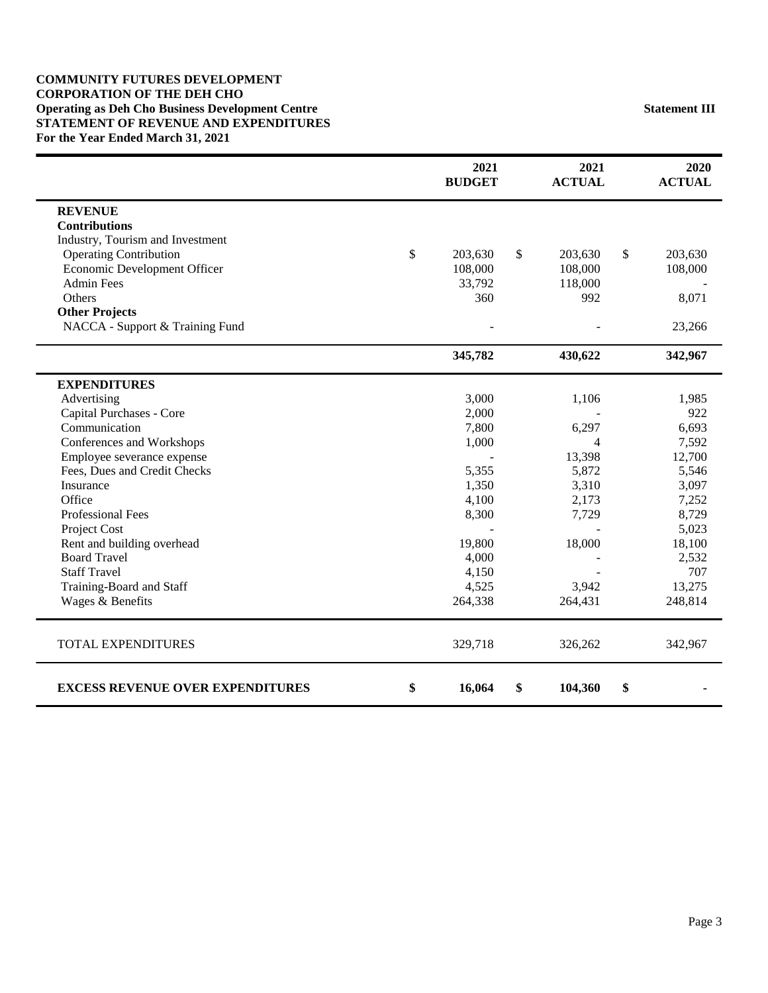#### **COMMUNITY FUTURES DEVELOPMENT CORPORATION OF THE DEH CHO Operating as Deh Cho Business Development Centre Statement III STATEMENT OF REVENUE AND EXPENDITURES For the Year Ended March 31, 2021**

|                                         | 2021<br><b>BUDGET</b> | 2021<br><b>ACTUAL</b> | 2020<br><b>ACTUAL</b> |
|-----------------------------------------|-----------------------|-----------------------|-----------------------|
| <b>REVENUE</b>                          |                       |                       |                       |
| <b>Contributions</b>                    |                       |                       |                       |
| Industry, Tourism and Investment        |                       |                       |                       |
| <b>Operating Contribution</b>           | \$<br>203,630         | \$<br>203,630         | \$<br>203,630         |
| Economic Development Officer            | 108,000               | 108,000               | 108,000               |
| <b>Admin Fees</b>                       | 33,792                | 118,000               |                       |
| Others                                  | 360                   | 992                   | 8,071                 |
| <b>Other Projects</b>                   |                       |                       |                       |
| NACCA - Support & Training Fund         |                       |                       | 23,266                |
|                                         | 345,782               | 430,622               | 342,967               |
| <b>EXPENDITURES</b>                     |                       |                       |                       |
| Advertising                             | 3,000                 | 1,106                 | 1,985                 |
| Capital Purchases - Core                | 2,000                 |                       | 922                   |
| Communication                           | 7,800                 | 6,297                 | 6,693                 |
| Conferences and Workshops               | 1,000                 | 4                     | 7,592                 |
| Employee severance expense              |                       | 13,398                | 12,700                |
| Fees, Dues and Credit Checks            | 5,355                 | 5,872                 | 5,546                 |
| Insurance                               | 1,350                 | 3,310                 | 3,097                 |
| Office                                  | 4,100                 | 2,173                 | 7,252                 |
| Professional Fees                       | 8,300                 | 7,729                 | 8,729                 |
| Project Cost                            |                       |                       | 5,023                 |
| Rent and building overhead              | 19,800                | 18,000                | 18,100                |
| <b>Board Travel</b>                     | 4,000                 |                       | 2,532                 |
| <b>Staff Travel</b>                     | 4,150                 |                       | 707                   |
| Training-Board and Staff                | 4,525                 | 3,942                 | 13,275                |
| Wages & Benefits                        | 264,338               | 264,431               | 248,814               |
| <b>TOTAL EXPENDITURES</b>               | 329,718               | 326,262               | 342,967               |
| <b>EXCESS REVENUE OVER EXPENDITURES</b> | \$<br>16,064          | \$<br>104,360         | \$                    |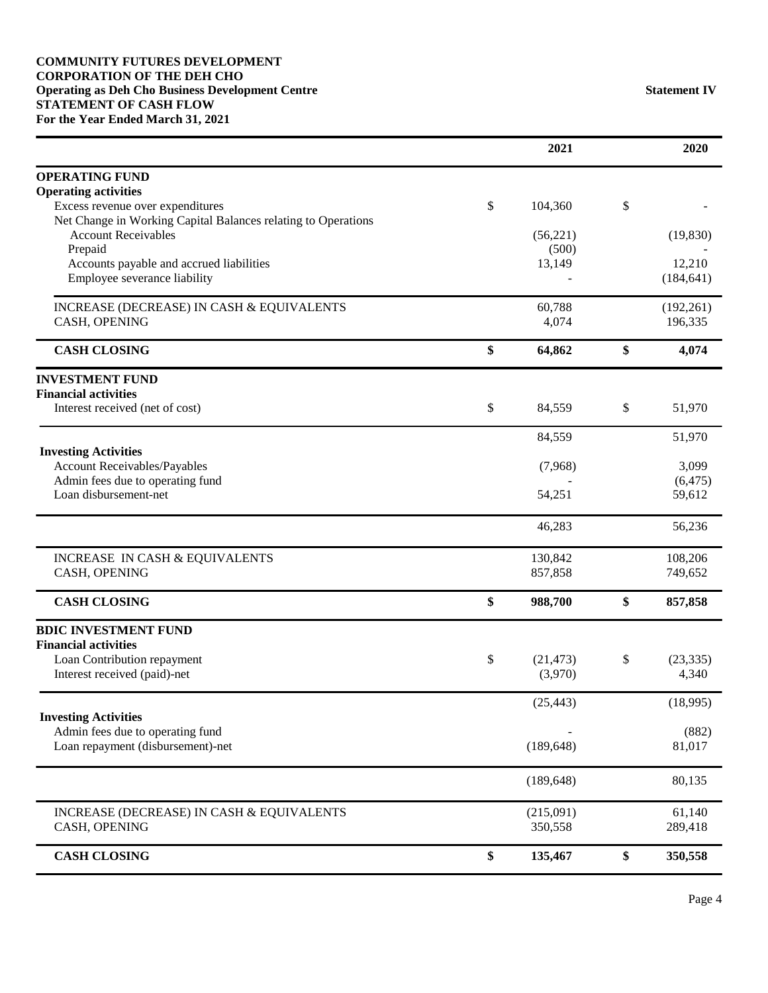#### **COMMUNITY FUTURES DEVELOPMENT CORPORATION OF THE DEH CHO Operating as Deh Cho Business Development Centre Statement IV STATEMENT OF CASH FLOW For the Year Ended March 31, 2021**

|                                                                                                   | 2021                       | 2020                     |
|---------------------------------------------------------------------------------------------------|----------------------------|--------------------------|
| <b>OPERATING FUND</b>                                                                             |                            |                          |
| <b>Operating activities</b>                                                                       |                            |                          |
| Excess revenue over expenditures<br>Net Change in Working Capital Balances relating to Operations | \$<br>104,360              | \$                       |
| <b>Account Receivables</b>                                                                        | (56, 221)                  | (19, 830)                |
| Prepaid                                                                                           | (500)                      |                          |
| Accounts payable and accrued liabilities                                                          | 13,149                     | 12,210                   |
| Employee severance liability                                                                      |                            | (184, 641)               |
| INCREASE (DECREASE) IN CASH & EQUIVALENTS                                                         | 60,788                     | (192, 261)               |
| CASH, OPENING                                                                                     | 4,074                      | 196,335                  |
| <b>CASH CLOSING</b>                                                                               | \$<br>64,862               | \$<br>4,074              |
| <b>INVESTMENT FUND</b>                                                                            |                            |                          |
| <b>Financial activities</b>                                                                       |                            |                          |
| Interest received (net of cost)                                                                   | \$<br>84,559               | \$<br>51,970             |
| <b>Investing Activities</b>                                                                       | 84,559                     | 51,970                   |
| Account Receivables/Payables                                                                      | (7,968)                    | 3,099                    |
| Admin fees due to operating fund                                                                  |                            | (6, 475)                 |
| Loan disbursement-net                                                                             | 54,251                     | 59,612                   |
|                                                                                                   | 46,283                     | 56,236                   |
| INCREASE IN CASH & EQUIVALENTS                                                                    | 130,842                    | 108,206                  |
| CASH, OPENING                                                                                     | 857,858                    | 749,652                  |
| <b>CASH CLOSING</b>                                                                               | \$<br>988,700              | \$<br>857,858            |
| <b>BDIC INVESTMENT FUND</b>                                                                       |                            |                          |
| <b>Financial activities</b>                                                                       |                            |                          |
| Loan Contribution repayment<br>Interest received (paid)-net                                       | \$<br>(21, 473)<br>(3,970) | \$<br>(23, 335)<br>4,340 |
|                                                                                                   |                            |                          |
| <b>Investing Activities</b>                                                                       | (25, 443)                  | (18,995)                 |
| Admin fees due to operating fund                                                                  |                            | (882)                    |
| Loan repayment (disbursement)-net                                                                 | (189, 648)                 | 81,017                   |
|                                                                                                   |                            |                          |
|                                                                                                   | (189, 648)                 | 80,135                   |
| INCREASE (DECREASE) IN CASH & EQUIVALENTS                                                         | (215,091)                  | 61,140                   |
| CASH, OPENING                                                                                     | 350,558                    | 289,418                  |
| <b>CASH CLOSING</b>                                                                               | \$<br>135,467              | \$<br>350,558            |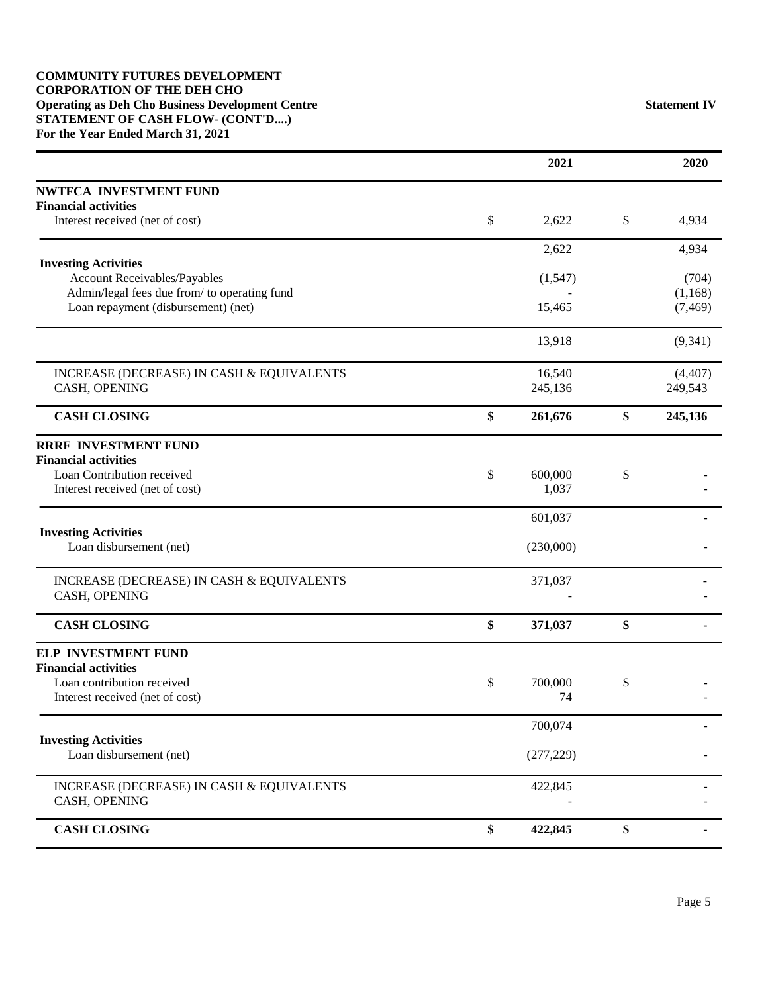#### **COMMUNITY FUTURES DEVELOPMENT CORPORATION OF THE DEH CHO Operating as Deh Cho Business Development Centre Statement IV STATEMENT OF CASH FLOW- (CONT'D....) For the Year Ended March 31, 2021**

|                                                                | 2021                   | 2020          |
|----------------------------------------------------------------|------------------------|---------------|
| NWTFCA INVESTMENT FUND                                         |                        |               |
| <b>Financial activities</b><br>Interest received (net of cost) | \$<br>2,622            | \$<br>4,934   |
|                                                                |                        |               |
| <b>Investing Activities</b>                                    | 2,622                  | 4,934         |
| Account Receivables/Payables                                   | (1, 547)               | (704)         |
| Admin/legal fees due from/ to operating fund                   |                        | (1,168)       |
| Loan repayment (disbursement) (net)                            | 15,465                 | (7, 469)      |
|                                                                | 13,918                 | (9, 341)      |
| INCREASE (DECREASE) IN CASH & EQUIVALENTS                      | 16,540                 | (4, 407)      |
| CASH, OPENING                                                  | 245,136                | 249,543       |
| <b>CASH CLOSING</b>                                            | \$<br>261,676          | \$<br>245,136 |
| <b>RRRF INVESTMENT FUND</b>                                    |                        |               |
| <b>Financial activities</b>                                    |                        |               |
| Loan Contribution received<br>Interest received (net of cost)  | \$<br>600,000<br>1,037 | \$            |
|                                                                |                        |               |
| <b>Investing Activities</b>                                    | 601,037                |               |
| Loan disbursement (net)                                        | (230,000)              |               |
| INCREASE (DECREASE) IN CASH & EQUIVALENTS                      | 371,037                |               |
| CASH, OPENING                                                  |                        |               |
| <b>CASH CLOSING</b>                                            | \$<br>371,037          | \$            |
| <b>ELP INVESTMENT FUND</b>                                     |                        |               |
| <b>Financial activities</b>                                    |                        |               |
| Loan contribution received<br>Interest received (net of cost)  | \$<br>700,000<br>74    | \$            |
|                                                                |                        |               |
| <b>Investing Activities</b>                                    | 700,074                |               |
| Loan disbursement (net)                                        | (277, 229)             |               |
| INCREASE (DECREASE) IN CASH & EQUIVALENTS                      | 422,845                |               |
| CASH, OPENING                                                  |                        |               |
| <b>CASH CLOSING</b>                                            | \$<br>422,845          | \$            |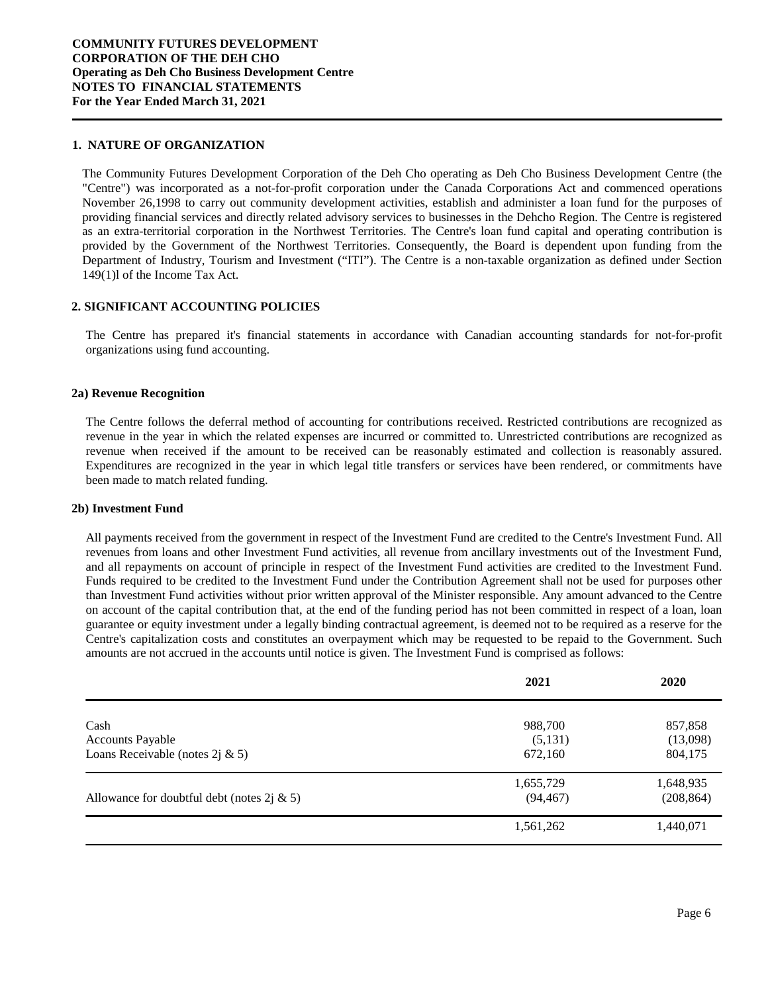#### **1. NATURE OF ORGANIZATION**

The Community Futures Development Corporation of the Deh Cho operating as Deh Cho Business Development Centre (the "Centre") was incorporated as a not-for-profit corporation under the Canada Corporations Act and commenced operations November 26,1998 to carry out community development activities, establish and administer a loan fund for the purposes of providing financial services and directly related advisory services to businesses in the Dehcho Region. The Centre is registered as an extra-territorial corporation in the Northwest Territories. The Centre's loan fund capital and operating contribution is provided by the Government of the Northwest Territories. Consequently, the Board is dependent upon funding from the Department of Industry, Tourism and Investment ("ITI"). The Centre is a non-taxable organization as defined under Section 149(1)l of the Income Tax Act.

#### **2. SIGNIFICANT ACCOUNTING POLICIES**

The Centre has prepared it's financial statements in accordance with Canadian accounting standards for not-for-profit organizations using fund accounting.

#### **2a) Revenue Recognition**

The Centre follows the deferral method of accounting for contributions received. Restricted contributions are recognized as revenue in the year in which the related expenses are incurred or committed to. Unrestricted contributions are recognized as revenue when received if the amount to be received can be reasonably estimated and collection is reasonably assured. Expenditures are recognized in the year in which legal title transfers or services have been rendered, or commitments have been made to match related funding.

#### **2b) Investment Fund**

All payments received from the government in respect of the Investment Fund are credited to the Centre's Investment Fund. All revenues from loans and other Investment Fund activities, all revenue from ancillary investments out of the Investment Fund, and all repayments on account of principle in respect of the Investment Fund activities are credited to the Investment Fund. Funds required to be credited to the Investment Fund under the Contribution Agreement shall not be used for purposes other than Investment Fund activities without prior written approval of the Minister responsible. Any amount advanced to the Centre on account of the capital contribution that, at the end of the funding period has not been committed in respect of a loan, loan guarantee or equity investment under a legally binding contractual agreement, is deemed not to be required as a reserve for the Centre's capitalization costs and constitutes an overpayment which may be requested to be repaid to the Government. Such amounts are not accrued in the accounts until notice is given. The Investment Fund is comprised as follows:

|                                                | 2021      | 2020       |
|------------------------------------------------|-----------|------------|
| Cash                                           | 988,700   | 857,858    |
| <b>Accounts Payable</b>                        | (5,131)   | (13,098)   |
| Loans Receivable (notes $2j \& 5$ )            | 672,160   | 804,175    |
|                                                | 1,655,729 | 1,648,935  |
| Allowance for doubtful debt (notes $2j \& 5$ ) | (94, 467) | (208, 864) |
|                                                | 1,561,262 | 1,440,071  |
|                                                |           |            |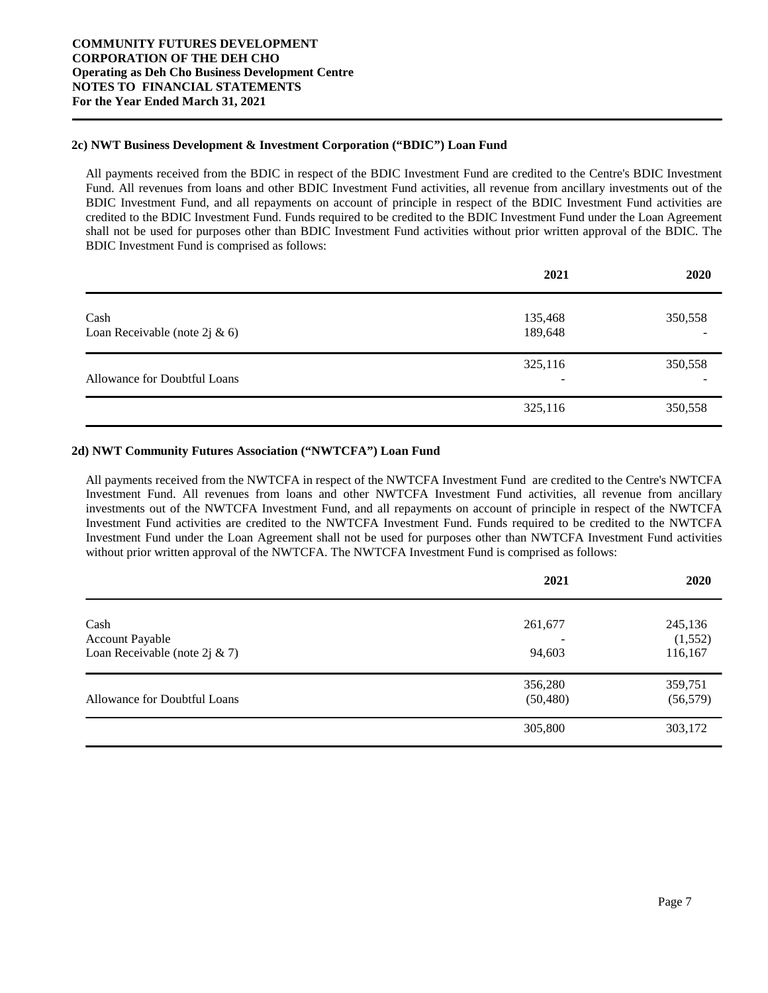#### **2c) NWT Business Development & Investment Corporation ("BDIC") Loan Fund**

All payments received from the BDIC in respect of the BDIC Investment Fund are credited to the Centre's BDIC Investment Fund. All revenues from loans and other BDIC Investment Fund activities, all revenue from ancillary investments out of the BDIC Investment Fund, and all repayments on account of principle in respect of the BDIC Investment Fund activities are credited to the BDIC Investment Fund. Funds required to be credited to the BDIC Investment Fund under the Loan Agreement shall not be used for purposes other than BDIC Investment Fund activities without prior written approval of the BDIC. The BDIC Investment Fund is comprised as follows:

|                                       | 2021               | 2020         |
|---------------------------------------|--------------------|--------------|
| Cash<br>Loan Receivable (note 2j & 6) | 135,468<br>189,648 | 350,558<br>- |
| Allowance for Doubtful Loans          | 325,116<br>-       | 350,558<br>- |
|                                       | 325,116            | 350,558      |

#### **2d) NWT Community Futures Association ("NWTCFA") Loan Fund**

All payments received from the NWTCFA in respect of the NWTCFA Investment Fund are credited to the Centre's NWTCFA Investment Fund. All revenues from loans and other NWTCFA Investment Fund activities, all revenue from ancillary investments out of the NWTCFA Investment Fund, and all repayments on account of principle in respect of the NWTCFA Investment Fund activities are credited to the NWTCFA Investment Fund. Funds required to be credited to the NWTCFA Investment Fund under the Loan Agreement shall not be used for purposes other than NWTCFA Investment Fund activities without prior written approval of the NWTCFA. The NWTCFA Investment Fund is comprised as follows:

|                                  | 2021      | 2020      |
|----------------------------------|-----------|-----------|
| Cash                             | 261,677   | 245,136   |
| <b>Account Payable</b>           |           | (1,552)   |
| Loan Receivable (note 2j $& 7$ ) | 94,603    | 116,167   |
|                                  | 356,280   | 359,751   |
| Allowance for Doubtful Loans     | (50, 480) | (56, 579) |
|                                  | 305,800   | 303,172   |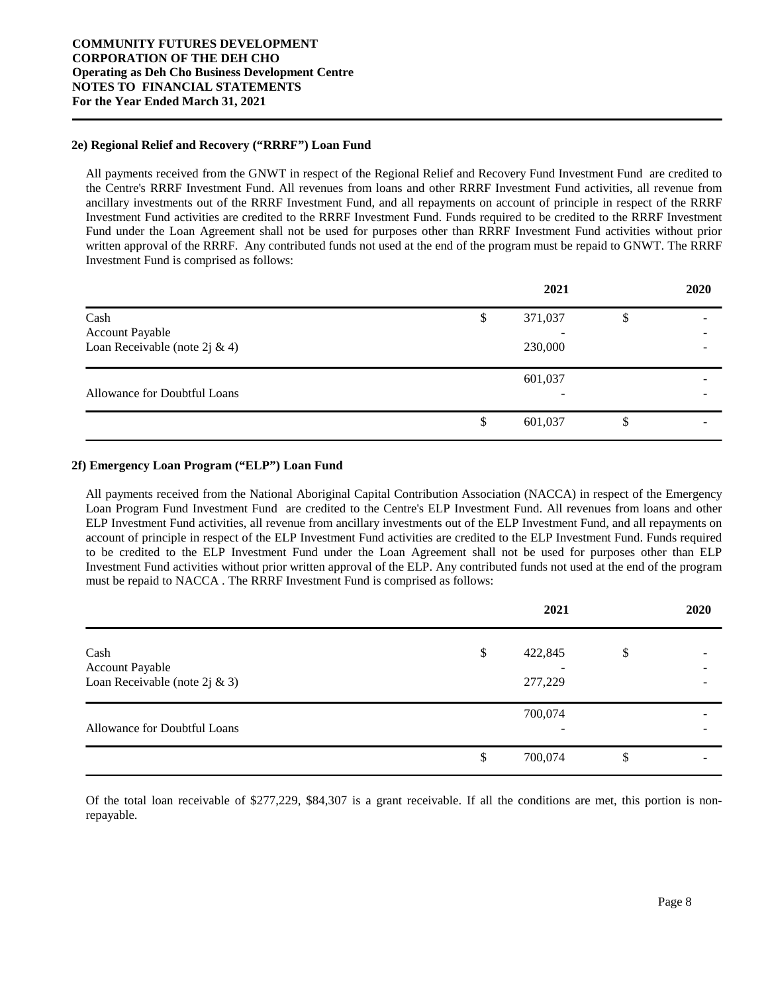#### **2e) Regional Relief and Recovery ("RRRF") Loan Fund**

All payments received from the GNWT in respect of the Regional Relief and Recovery Fund Investment Fund are credited to the Centre's RRRF Investment Fund. All revenues from loans and other RRRF Investment Fund activities, all revenue from ancillary investments out of the RRRF Investment Fund, and all repayments on account of principle in respect of the RRRF Investment Fund activities are credited to the RRRF Investment Fund. Funds required to be credited to the RRRF Investment Fund under the Loan Agreement shall not be used for purposes other than RRRF Investment Fund activities without prior written approval of the RRRF. Any contributed funds not used at the end of the program must be repaid to GNWT. The RRRF Investment Fund is comprised as follows:

|                                |    | 2021    |    | 2020 |
|--------------------------------|----|---------|----|------|
| Cash<br><b>Account Payable</b> | \$ | 371,037 | \$ | -    |
| Loan Receivable (note 2j & 4)  |    | 230,000 |    |      |
| Allowance for Doubtful Loans   |    | 601,037 |    |      |
|                                | S  | 601,037 | S  |      |

#### **2f) Emergency Loan Program ("ELP") Loan Fund**

All payments received from the National Aboriginal Capital Contribution Association (NACCA) in respect of the Emergency Loan Program Fund Investment Fund are credited to the Centre's ELP Investment Fund. All revenues from loans and other ELP Investment Fund activities, all revenue from ancillary investments out of the ELP Investment Fund, and all repayments on account of principle in respect of the ELP Investment Fund activities are credited to the ELP Investment Fund. Funds required to be credited to the ELP Investment Fund under the Loan Agreement shall not be used for purposes other than ELP Investment Fund activities without prior written approval of the ELP. Any contributed funds not used at the end of the program must be repaid to NACCA . The RRRF Investment Fund is comprised as follows:

|                                                              | 2021                     | 2020 |
|--------------------------------------------------------------|--------------------------|------|
| Cash<br>Account Payable<br>Loan Receivable (note $2j \& 3$ ) | \$<br>422,845<br>277,229 | \$   |
| Allowance for Doubtful Loans                                 | 700,074                  |      |
|                                                              | \$<br>700,074            | \$   |

Of the total loan receivable of \$277,229, \$84,307 is a grant receivable. If all the conditions are met, this portion is nonrepayable.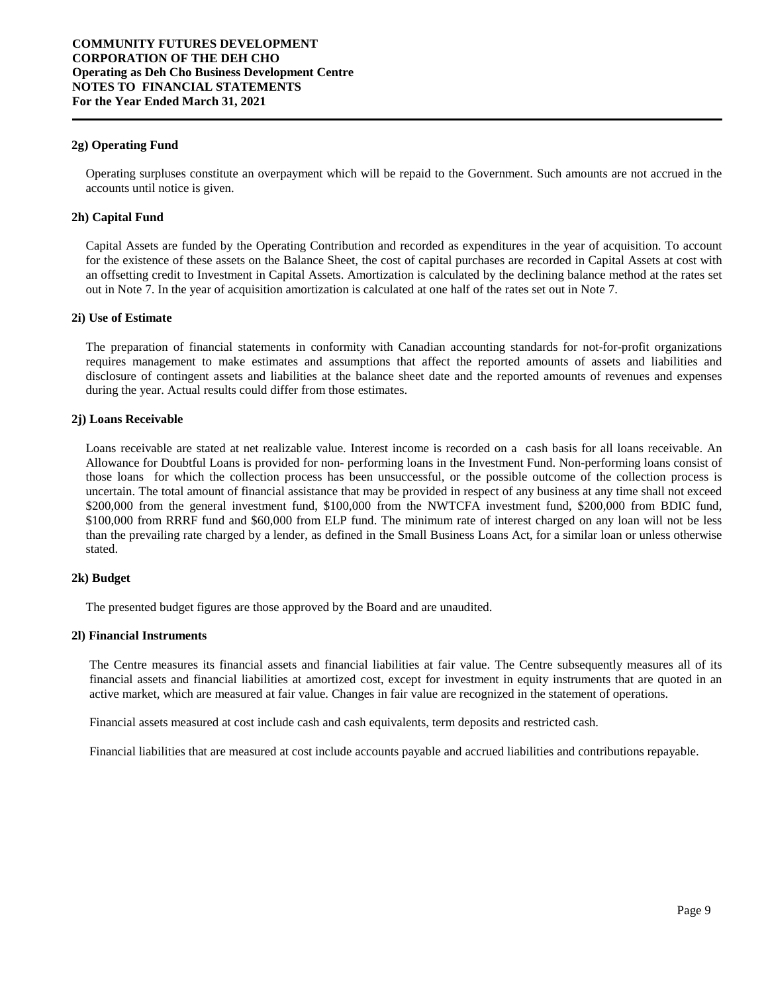#### **2g) Operating Fund**

Operating surpluses constitute an overpayment which will be repaid to the Government. Such amounts are not accrued in the accounts until notice is given.

#### **2h) Capital Fund**

Capital Assets are funded by the Operating Contribution and recorded as expenditures in the year of acquisition. To account for the existence of these assets on the Balance Sheet, the cost of capital purchases are recorded in Capital Assets at cost with an offsetting credit to Investment in Capital Assets. Amortization is calculated by the declining balance method at the rates set out in Note 7. In the year of acquisition amortization is calculated at one half of the rates set out in Note 7.

#### **2i) Use of Estimate**

The preparation of financial statements in conformity with Canadian accounting standards for not-for-profit organizations requires management to make estimates and assumptions that affect the reported amounts of assets and liabilities and disclosure of contingent assets and liabilities at the balance sheet date and the reported amounts of revenues and expenses during the year. Actual results could differ from those estimates.

#### **2j) Loans Receivable**

Loans receivable are stated at net realizable value. Interest income is recorded on a cash basis for all loans receivable. An Allowance for Doubtful Loans is provided for non- performing loans in the Investment Fund. Non-performing loans consist of those loans for which the collection process has been unsuccessful, or the possible outcome of the collection process is uncertain. The total amount of financial assistance that may be provided in respect of any business at any time shall not exceed \$200,000 from the general investment fund, \$100,000 from the NWTCFA investment fund, \$200,000 from BDIC fund, \$100,000 from RRRF fund and \$60,000 from ELP fund. The minimum rate of interest charged on any loan will not be less than the prevailing rate charged by a lender, as defined in the Small Business Loans Act, for a similar loan or unless otherwise stated.

#### **2k) Budget**

The presented budget figures are those approved by the Board and are unaudited.

#### **2l) Financial Instruments**

The Centre measures its financial assets and financial liabilities at fair value. The Centre subsequently measures all of its financial assets and financial liabilities at amortized cost, except for investment in equity instruments that are quoted in an active market, which are measured at fair value. Changes in fair value are recognized in the statement of operations.

Financial assets measured at cost include cash and cash equivalents, term deposits and restricted cash.

Financial liabilities that are measured at cost include accounts payable and accrued liabilities and contributions repayable.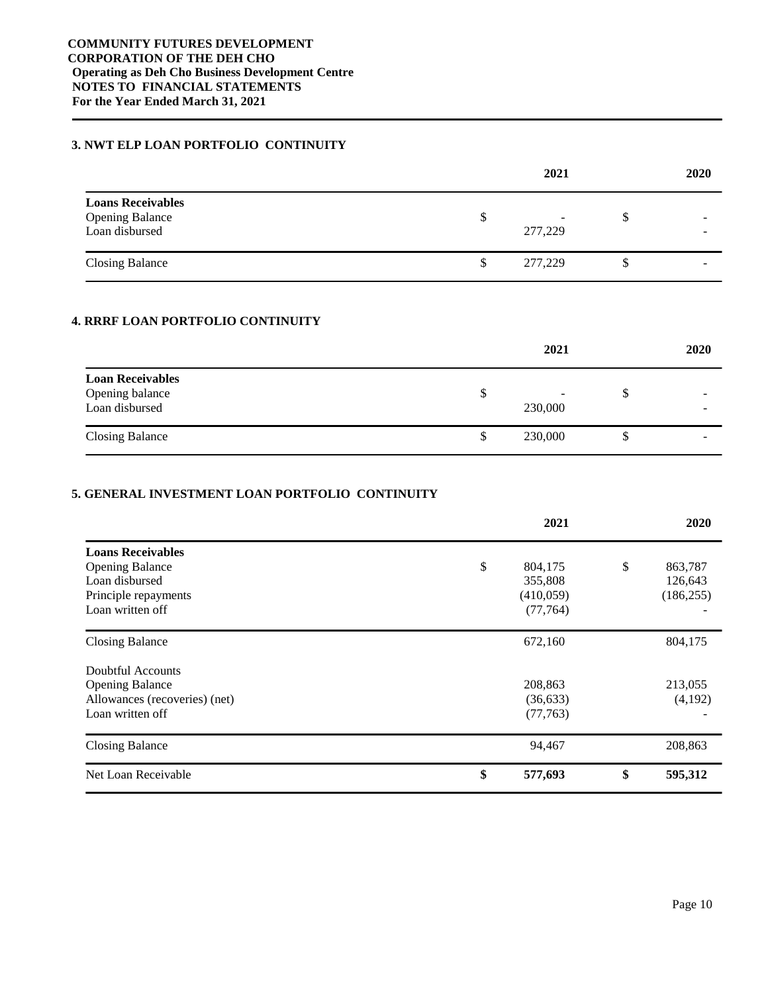#### **3. NWT ELP LOAN PORTFOLIO CONTINUITY**

|                                                                      |    | 2021         |    | 2020 |
|----------------------------------------------------------------------|----|--------------|----|------|
| <b>Loans Receivables</b><br><b>Opening Balance</b><br>Loan disbursed | S  | -<br>277,229 | S  |      |
| <b>Closing Balance</b>                                               | \$ | 277,229      | \$ |      |

# **4. RRRF LOAN PORTFOLIO CONTINUITY**

|                                                              |   | 2021    |    | 2020                     |
|--------------------------------------------------------------|---|---------|----|--------------------------|
| <b>Loan Receivables</b><br>Opening balance<br>Loan disbursed | D | 230,000 | S  | $\overline{\phantom{a}}$ |
| <b>Closing Balance</b>                                       | S | 230,000 | \$ | $\overline{\phantom{a}}$ |

#### **5. GENERAL INVESTMENT LOAN PORTFOLIO CONTINUITY**

|                               | 2021          | 2020          |
|-------------------------------|---------------|---------------|
| <b>Loans Receivables</b>      |               |               |
| <b>Opening Balance</b>        | \$<br>804,175 | \$<br>863,787 |
| Loan disbursed                | 355,808       | 126,643       |
| Principle repayments          | (410, 059)    | (186, 255)    |
| Loan written off              | (77, 764)     |               |
| <b>Closing Balance</b>        | 672,160       | 804,175       |
| Doubtful Accounts             |               |               |
| <b>Opening Balance</b>        | 208,863       | 213,055       |
| Allowances (recoveries) (net) | (36,633)      | (4,192)       |
| Loan written off              | (77,763)      |               |
| <b>Closing Balance</b>        | 94,467        | 208,863       |
| Net Loan Receivable           | \$<br>577,693 | \$<br>595,312 |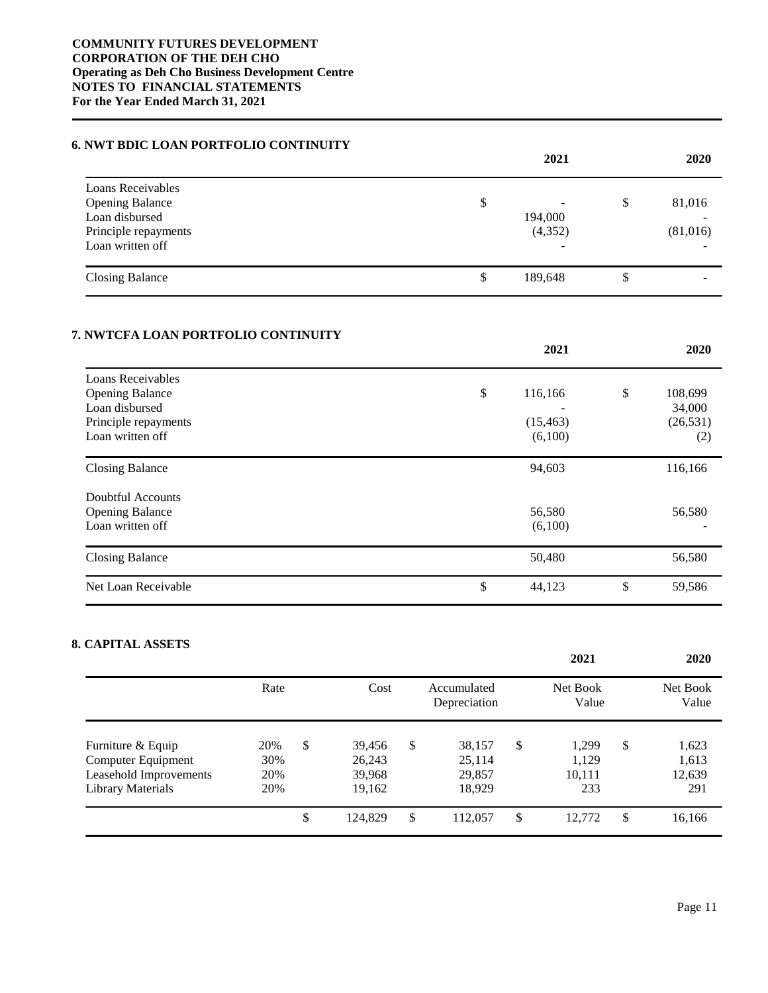#### **6. NWT BDIC LOAN PORTFOLIO CONTINUITY**

|                                                                                                           | 2021                                                 | 2020                     |
|-----------------------------------------------------------------------------------------------------------|------------------------------------------------------|--------------------------|
| Loans Receivables<br><b>Opening Balance</b><br>Loan disbursed<br>Principle repayments<br>Loan written off | \$<br>194,000<br>(4,352)<br>$\overline{\phantom{a}}$ | \$<br>81,016<br>(81,016) |
| <b>Closing Balance</b>                                                                                    | \$<br>189,648                                        | \$                       |

#### **7. NWTCFA LOAN PORTFOLIO CONTINUITY**

|                        | 2021          | 2020          |
|------------------------|---------------|---------------|
| Loans Receivables      |               |               |
| <b>Opening Balance</b> | \$<br>116,166 | \$<br>108,699 |
| Loan disbursed         |               | 34,000        |
| Principle repayments   | (15, 463)     | (26, 531)     |
| Loan written off       | (6,100)       | (2)           |
| <b>Closing Balance</b> | 94,603        | 116,166       |
| Doubtful Accounts      |               |               |
| <b>Opening Balance</b> | 56,580        | 56,580        |
| Loan written off       | (6,100)       |               |
| <b>Closing Balance</b> | 50,480        | 56,580        |
| Net Loan Receivable    | \$<br>44,123  | \$<br>59,586  |

# **8. CAPITAL ASSETS**

|                                                                                               |                          |                                            |                                            | 2021                                  | 2020                                  |
|-----------------------------------------------------------------------------------------------|--------------------------|--------------------------------------------|--------------------------------------------|---------------------------------------|---------------------------------------|
|                                                                                               | Rate                     | Cost                                       | Accumulated<br>Depreciation                | Net Book<br>Value                     | Net Book<br>Value                     |
| Furniture & Equip<br>Computer Equipment<br>Leasehold Improvements<br><b>Library Materials</b> | 20%<br>30%<br>20%<br>20% | \$<br>39,456<br>26,243<br>39,968<br>19,162 | \$<br>38,157<br>25,114<br>29,857<br>18,929 | \$<br>1,299<br>1,129<br>10,111<br>233 | \$<br>1,623<br>1,613<br>12,639<br>291 |
|                                                                                               |                          | \$<br>124,829                              | \$<br>112,057                              | \$<br>12,772                          | \$<br>16,166                          |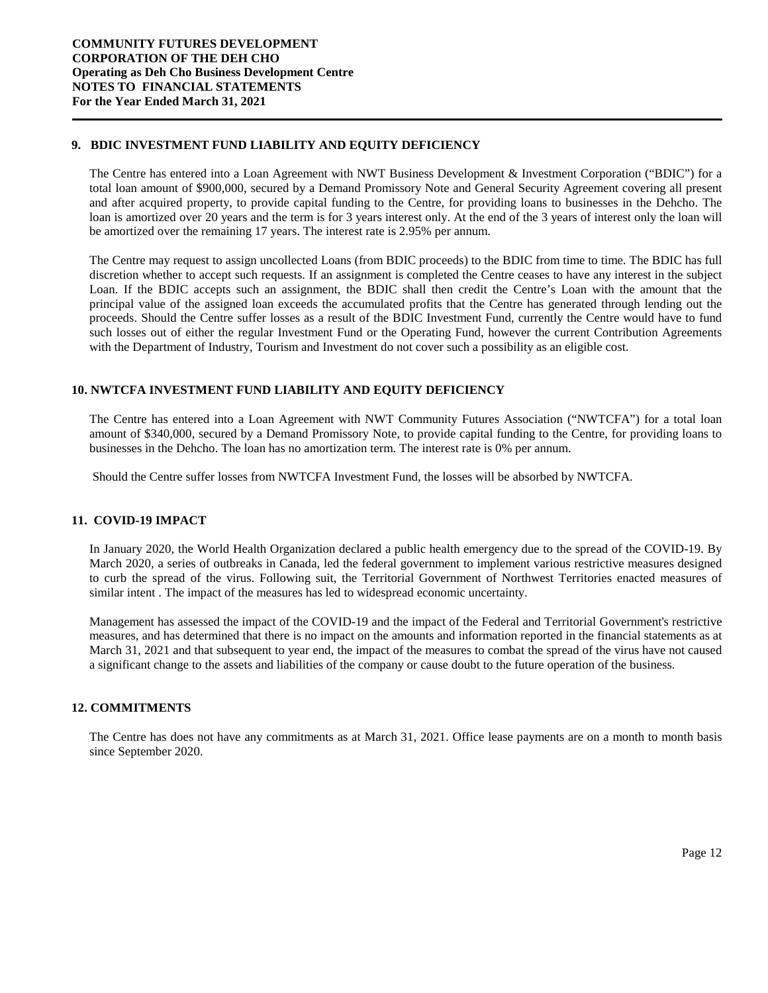#### **9. BDIC INVESTMENT FUND LIABILITY AND EQUITY DEFICIENCY**

The Centre has entered into a Loan Agreement with NWT Business Development & Investment Corporation ("BDIC") for a total loan amount of \$900,000, secured by a Demand Promissory Note and General Security Agreement covering all present and after acquired property, to provide capital funding to the Centre, for providing loans to businesses in the Dehcho. The loan is amortized over 20 years and the term is for 3 years interest only. At the end of the 3 years of interest only the loan will be amortized over the remaining 17 years. The interest rate is 2.95% per annum.

The Centre may request to assign uncollected Loans (from BDIC proceeds) to the BDIC from time to time. The BDIC has full discretion whether to accept such requests. If an assignment is completed the Centre ceases to have any interest in the subject Loan. If the BDIC accepts such an assignment, the BDIC shall then credit the Centre's Loan with the amount that the principal value of the assigned loan exceeds the accumulated profits that the Centre has generated through lending out the proceeds. Should the Centre suffer losses as a result of the BDIC Investment Fund, currently the Centre would have to fund such losses out of either the regular Investment Fund or the Operating Fund, however the current Contribution Agreements with the Department of Industry, Tourism and Investment do not cover such a possibility as an eligible cost.

#### **10. NWTCFA INVESTMENT FUND LIABILITY AND EQUITY DEFICIENCY**

The Centre has entered into a Loan Agreement with NWT Community Futures Association ("NWTCFA") for a total loan amount of \$340,000, secured by a Demand Promissory Note, to provide capital funding to the Centre, for providing loans to businesses in the Dehcho. The loan has no amortization term. The interest rate is 0% per annum.

Should the Centre suffer losses from NWTCFA Investment Fund, the losses will be absorbed by NWTCFA.

#### **11. COVID-19 IMPACT**

In January 2020, the World Health Organization declared a public health emergency due to the spread of the COVID-19. By March 2020, a series of outbreaks in Canada, led the federal government to implement various restrictive measures designed to curb the spread of the virus. Following suit, the Territorial Government of Northwest Territories enacted measures of similar intent . The impact of the measures has led to widespread economic uncertainty.

Management has assessed the impact of the COVID-19 and the impact of the Federal and Territorial Government's restrictive measures, and has determined that there is no impact on the amounts and information reported in the financial statements as at March 31, 2021 and that subsequent to year end, the impact of the measures to combat the spread of the virus have not caused a significant change to the assets and liabilities of the company or cause doubt to the future operation of the business.

#### **12. COMMITMENTS**

The Centre has does not have any commitments as at March 31, 2021. Office lease payments are on a month to month basis since September 2020.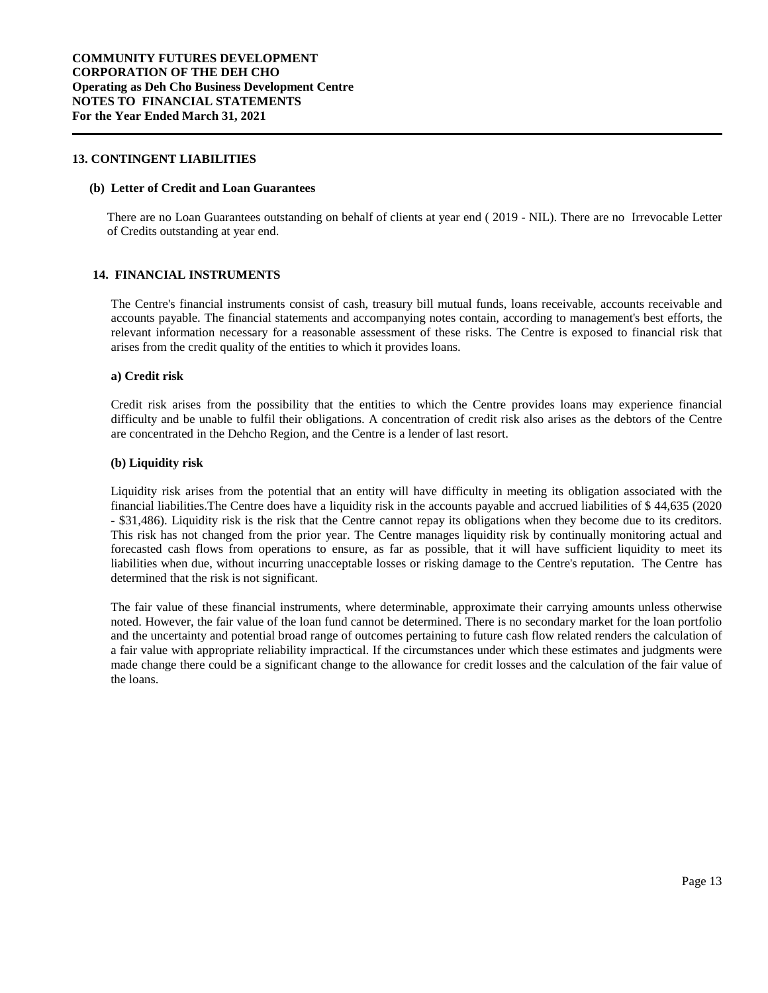#### **13. CONTINGENT LIABILITIES**

#### **(b) Letter of Credit and Loan Guarantees**

There are no Loan Guarantees outstanding on behalf of clients at year end ( 2019 - NIL). There are no Irrevocable Letter of Credits outstanding at year end.

#### **14. FINANCIAL INSTRUMENTS**

The Centre's financial instruments consist of cash, treasury bill mutual funds, loans receivable, accounts receivable and accounts payable. The financial statements and accompanying notes contain, according to management's best efforts, the relevant information necessary for a reasonable assessment of these risks. The Centre is exposed to financial risk that arises from the credit quality of the entities to which it provides loans.

#### **a) Credit risk**

Credit risk arises from the possibility that the entities to which the Centre provides loans may experience financial difficulty and be unable to fulfil their obligations. A concentration of credit risk also arises as the debtors of the Centre are concentrated in the Dehcho Region, and the Centre is a lender of last resort.

#### **(b) Liquidity risk**

Liquidity risk arises from the potential that an entity will have difficulty in meeting its obligation associated with the financial liabilities.The Centre does have a liquidity risk in the accounts payable and accrued liabilities of \$ 44,635 (2020 - \$31,486). Liquidity risk is the risk that the Centre cannot repay its obligations when they become due to its creditors. This risk has not changed from the prior year. The Centre manages liquidity risk by continually monitoring actual and forecasted cash flows from operations to ensure, as far as possible, that it will have sufficient liquidity to meet its liabilities when due, without incurring unacceptable losses or risking damage to the Centre's reputation. The Centre has determined that the risk is not significant.

The fair value of these financial instruments, where determinable, approximate their carrying amounts unless otherwise noted. However, the fair value of the loan fund cannot be determined. There is no secondary market for the loan portfolio and the uncertainty and potential broad range of outcomes pertaining to future cash flow related renders the calculation of a fair value with appropriate reliability impractical. If the circumstances under which these estimates and judgments were made change there could be a significant change to the allowance for credit losses and the calculation of the fair value of the loans.